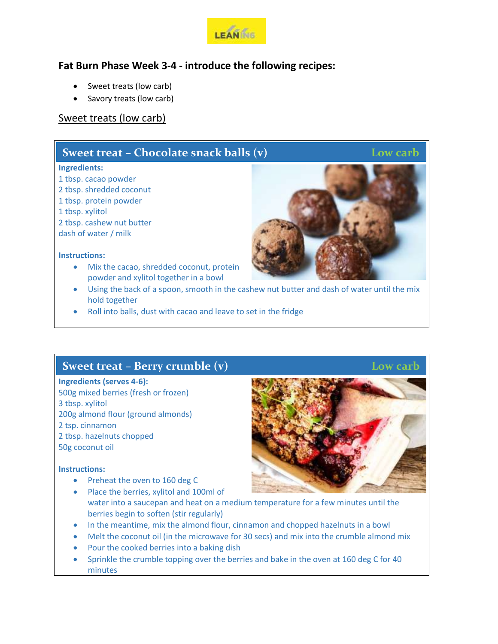

## **Fat Burn Phase Week 3-4 - introduce the following recipes:**

- Sweet treats (low carb)
- Savory treats (low carb)

## Sweet treats (low carb)

## **Sweet treat** – **Chocolate snack balls (v)** Low carb

#### **Ingredients:**

- 1 tbsp. cacao powder
- 2 tbsp. shredded coconut
- 1 tbsp. protein powder
- 1 tbsp. xylitol
- 2 tbsp. cashew nut butter
- dash of water / milk

#### **Instructions:**

- Mix the cacao, shredded coconut, protein powder and xylitol together in a bowl
- Using the back of a spoon, smooth in the cashew nut butter and dash of water until the mix hold together
- Roll into balls, dust with cacao and leave to set in the fridge

# **Sweet treat – Berry crumble (v)** Low carb

### **Ingredients (serves 4-6):**

500g mixed berries (fresh or frozen) 3 tbsp. xylitol 200g almond flour (ground almonds) 2 tsp. cinnamon 2 tbsp. hazelnuts chopped 50g coconut oil

#### **Instructions:**

- Preheat the oven to 160 deg C
- Place the berries, xylitol and 100ml of water into a saucepan and heat on a medium temperature for a few minutes until the berries begin to soften (stir regularly)
- In the meantime, mix the almond flour, cinnamon and chopped hazelnuts in a bowl
- Melt the coconut oil (in the microwave for 30 secs) and mix into the crumble almond mix
- Pour the cooked berries into a baking dish
- Sprinkle the crumble topping over the berries and bake in the oven at 160 deg C for 40 minutes



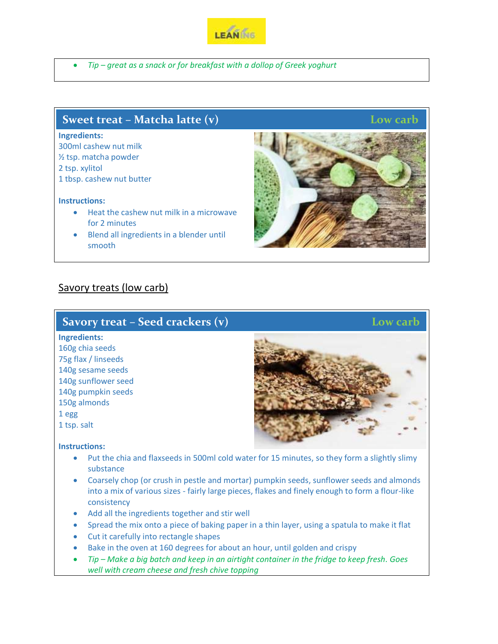

*Tip – great as a snack or for breakfast with a dollop of Greek yoghurt*

## **Sweet treat** – **Matcha latte (v)** Low carb

#### **Ingredients:**

300ml cashew nut milk ½ tsp. matcha powder 2 tsp. xylitol 1 tbsp. cashew nut butter

#### **Instructions:**

- Heat the cashew nut milk in a microwave for 2 minutes
- Blend all ingredients in a blender until smooth

## Savory treats (low carb)

|              | Savory treat – Seed crackers $(v)$ |
|--------------|------------------------------------|
| Ingredients: |                                    |
|              |                                    |

160g chia seeds 75g flax / linseeds 140g sesame seeds 140g sunflower seed 140g pumpkin seeds 150g almonds 1 egg 1 tsp. salt

#### **Instructions:**

- Put the chia and flaxseeds in 500ml cold water for 15 minutes, so they form a slightly slimy substance
- Coarsely chop (or crush in pestle and mortar) pumpkin seeds, sunflower seeds and almonds into a mix of various sizes - fairly large pieces, flakes and finely enough to form a flour-like consistency
- Add all the ingredients together and stir well
- Spread the mix onto a piece of baking paper in a thin layer, using a spatula to make it flat
- Cut it carefully into rectangle shapes
- Bake in the oven at 160 degrees for about an hour, until golden and crispy
- *Tip – Make a big batch and keep in an airtight container in the fridge to keep fresh. Goes well with cream cheese and fresh chive topping*



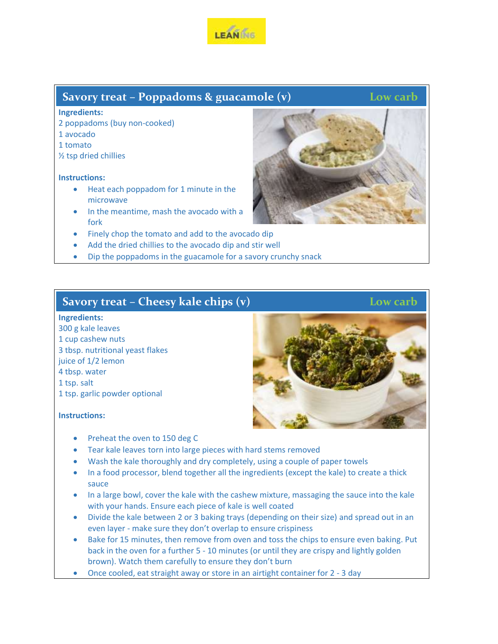

## **Savory treat** – **Poppadoms & guacamole (v)** Low carb

#### **Ingredients:**

- 2 poppadoms (buy non-cooked)
- 1 avocado
- 1 tomato
- ½ tsp dried chillies

#### **Instructions:**

- Heat each poppadom for 1 minute in the microwave
- In the meantime, mash the avocado with a fork
- Finely chop the tomato and add to the avocado dip
- Add the dried chillies to the avocado dip and stir well
- Dip the poppadoms in the guacamole for a savory crunchy snack

## **Savory treat** – **Cheesy kale chips (v)** Low carb

#### **Ingredients:**

 g kale leaves cup cashew nuts tbsp. nutritional yeast flakes juice of 1/2 lemon tbsp. water tsp. salt tsp. garlic powder optional

#### **Instructions:**

- Preheat the oven to 150 deg C
- Tear kale leaves torn into large pieces with hard stems removed
- Wash the kale thoroughly and dry completely, using a couple of paper towels
- In a food processor, blend together all the ingredients (except the kale) to create a thick sauce
- In a large bowl, cover the kale with the cashew mixture, massaging the sauce into the kale with your hands. Ensure each piece of kale is well coated
- Divide the kale between 2 or 3 baking trays (depending on their size) and spread out in an even layer - make sure they don't overlap to ensure crispiness
- Bake for 15 minutes, then remove from oven and toss the chips to ensure even baking. Put back in the oven for a further 5 - 10 minutes (or until they are crispy and lightly golden brown). Watch them carefully to ensure they don't burn
- Once cooled, eat straight away or store in an airtight container for 2 3 day